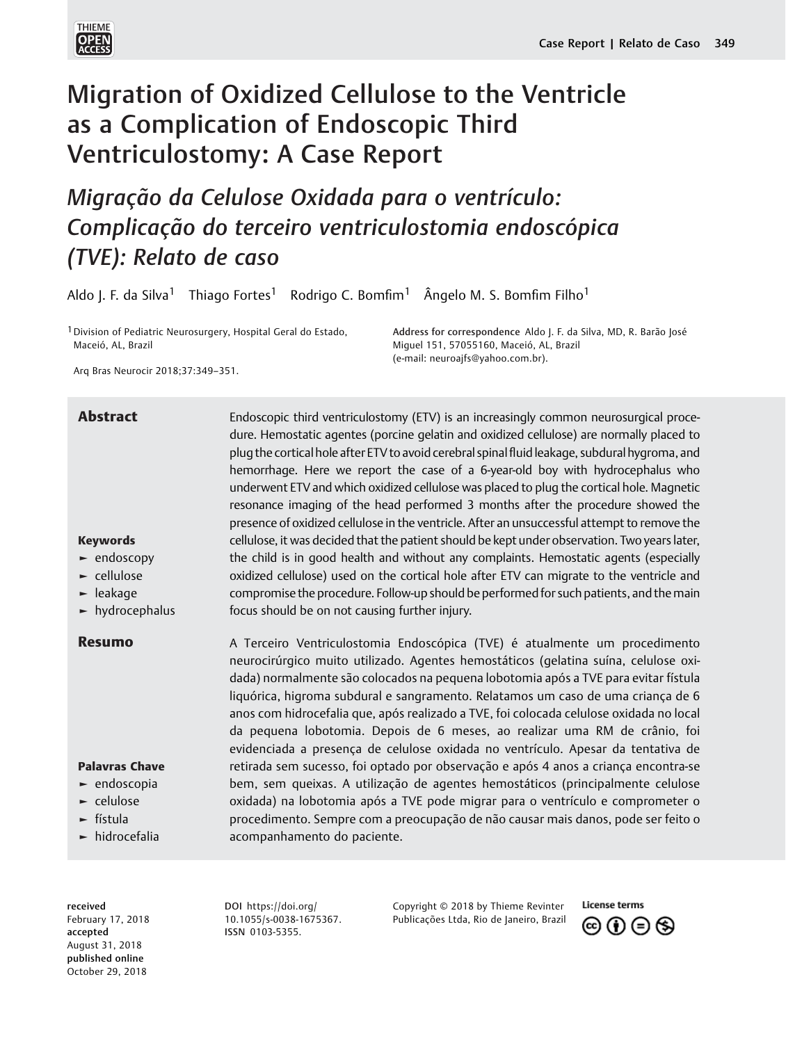

# Migration of Oxidized Cellulose to the Ventricle as a Complication of Endoscopic Third Ventriculostomy: A Case Report

Migração da Celulose Oxidada para o ventrículo: Complicação do terceiro ventriculostomia endoscópica (TVE): Relato de caso

Aldo J. F. da Silva<sup>1</sup> Thiago Fortes<sup>1</sup> Rodrigo C. Bomfim<sup>1</sup> Ângelo M. S. Bomfim Filho<sup>1</sup>

1Division of Pediatric Neurosurgery, Hospital Geral do Estado, Maceió, AL, Brazil

Address for correspondence Aldo J. F. da Silva, MD, R. Barão José Miguel 151, 57055160, Maceió, AL, Brazil (e-mail: [neuroajfs@yahoo.com.br\)](mailto:neuroajfs@yahoo.com.br).

Arq Bras Neurocir 2018;37:349–351.

# Abstract Endoscopic third ventriculostomy (ETV) is an increasingly common neurosurgical proce-

Keywords ► endoscopy ► cellulose ► leakage ► hydrocephalus plug the cortical hole after ETV to avoid cerebral spinal fluid leakage, subdural hygroma, and hemorrhage. Here we report the case of a 6-year-old boy with hydrocephalus who underwent ETV and which oxidized cellulose was placed to plug the cortical hole. Magnetic resonance imaging of the head performed 3 months after the procedure showed the presence of oxidized cellulose in the ventricle. After an unsuccessful attempt to remove the cellulose, it was decided that the patient should be kept under observation. Two years later, the child is in good health and without any complaints. Hemostatic agents (especially oxidized cellulose) used on the cortical hole after ETV can migrate to the ventricle and compromise the procedure. Follow-up should be performed for such patients, and the main focus should be on not causing further injury.

dure. Hemostatic agentes (porcine gelatin and oxidized cellulose) are normally placed to

Palavras Chave ► endoscopia ► celulose ► fístula ► hidrocefalia **Resumo** A Terceiro Ventriculostomia Endoscópica (TVE) é atualmente um procedimento neurocirúrgico muito utilizado. Agentes hemostáticos (gelatina suína, celulose oxidada) normalmente são colocados na pequena lobotomia após a TVE para evitar fístula liquórica, higroma subdural e sangramento. Relatamos um caso de uma criança de 6 anos com hidrocefalia que, após realizado a TVE, foi colocada celulose oxidada no local da pequena lobotomia. Depois de 6 meses, ao realizar uma RM de crânio, foi evidenciada a presença de celulose oxidada no ventrículo. Apesar da tentativa de retirada sem sucesso, foi optado por observação e após 4 anos a criança encontra-se bem, sem queixas. A utilização de agentes hemostáticos (principalmente celulose oxidada) na lobotomia após a TVE pode migrar para o ventrículo e comprometer o procedimento. Sempre com a preocupação de não causar mais danos, pode ser feito o acompanhamento do paciente.

received February 17, 2018 accepted August 31, 2018 published online October 29, 2018

DOI [https://doi.org/](https://doi.org/10.1055/s-0038-1675367) [10.1055/s-0038-1675367](https://doi.org/10.1055/s-0038-1675367). ISSN 0103-5355.

Copyright © 2018 by Thieme Revinter Publicações Ltda, Rio de Janeiro, Brazil

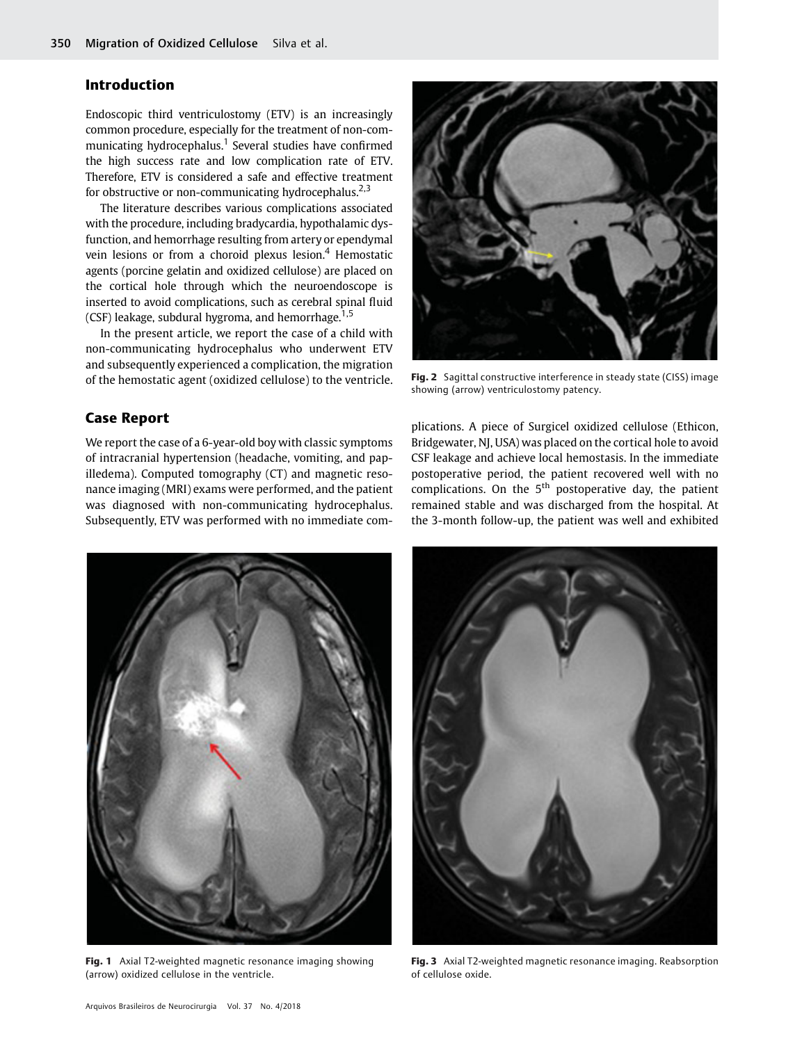## Introduction

Endoscopic third ventriculostomy (ETV) is an increasingly common procedure, especially for the treatment of non-communicating hydrocephalus.<sup>1</sup> Several studies have confirmed the high success rate and low complication rate of ETV. Therefore, ETV is considered a safe and effective treatment for obstructive or non-communicating hydrocephalus.<sup>2,3</sup>

The literature describes various complications associated with the procedure, including bradycardia, hypothalamic dysfunction, and hemorrhage resulting from artery or ependymal vein lesions or from a choroid plexus lesion.<sup>4</sup> Hemostatic agents (porcine gelatin and oxidized cellulose) are placed on the cortical hole through which the neuroendoscope is inserted to avoid complications, such as cerebral spinal fluid (CSF) leakage, subdural hygroma, and hemorrhage.<sup>1,5</sup>

In the present article, we report the case of a child with non-communicating hydrocephalus who underwent ETV and subsequently experienced a complication, the migration of the hemostatic agent (oxidized cellulose) to the ventricle.

### Case Report

We report the case of a 6-year-old boy with classic symptoms of intracranial hypertension (headache, vomiting, and papilledema). Computed tomography (CT) and magnetic resonance imaging (MRI) exams were performed, and the patient was diagnosed with non-communicating hydrocephalus. Subsequently, ETV was performed with no immediate com-



Fig. 2 Sagittal constructive interference in steady state (CISS) image showing (arrow) ventriculostomy patency.

plications. A piece of Surgicel oxidized cellulose (Ethicon, Bridgewater, NJ, USA) was placed on the cortical hole to avoid CSF leakage and achieve local hemostasis. In the immediate postoperative period, the patient recovered well with no complications. On the  $5<sup>th</sup>$  postoperative day, the patient remained stable and was discharged from the hospital. At the 3-month follow-up, the patient was well and exhibited



Fig. 1 Axial T2-weighted magnetic resonance imaging showing (arrow) oxidized cellulose in the ventricle.



Fig. 3 Axial T2-weighted magnetic resonance imaging. Reabsorption of cellulose oxide.